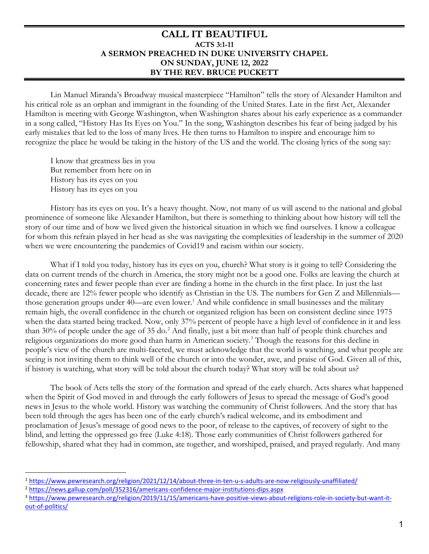## **CALL IT BEAUTIFUL ACTS 3:1-11 A SERMON PREACHED IN DUKE UNIVERSITY CHAPEL ON SUNDAY, JUNE 12, 2022 BY THE REV. BRUCE PUCKETT**

Lin Manuel Miranda's Broadway musical masterpiece "Hamilton" tells the story of Alexander Hamilton and his critical role as an orphan and immigrant in the founding of the United States. Late in the first Act, Alexander Hamilton is meeting with George Washington, when Washington shares about his early experience as a commander in a song called, "History Has Its Eyes on You." In the song, Washington describes his fear of being judged by his early mistakes that led to the loss of many lives. He then turns to Hamilton to inspire and encourage him to recognize the place he would be taking in the history of the US and the world. The closing lyrics of the song say:

I know that greatness lies in you But remember from here on in History has its eyes on you History has its eyes on you

History has its eyes on you. It's a heavy thought. Now, not many of us will ascend to the national and global prominence of someone like Alexander Hamilton, but there is something to thinking about how history will tell the story of our time and of how we lived given the historical situation in which we find ourselves. I know a colleague for whom this refrain played in her head as she was navigating the complexities of leadership in the summer of 2020 when we were encountering the pandemics of Covid19 and racism within our society.

What if I told you today, history has its eyes on you, church? What story is it going to tell? Considering the data on current trends of the church in America, the story might not be a good one. Folks are leaving the church at concerning rates and fewer people than ever are finding a home in the church in the first place. In just the last decade, there are 12% fewer people who identify as Christian in the US. The numbers for Gen Z and Millennials— those generation groups under 40—are even lower.<sup>[1](#page-0-0)</sup> And while confidence in small businesses and the military remain high, the overall confidence in the church or organized religion has been on consistent decline since 1975 when the data started being tracked. Now, only 37% percent of people have a high level of confidence in it and less than 30% of people under the age of 35 do.<sup>[2](#page-0-1)</sup> And finally, just a bit more than half of people think churches and religious organizations do more good than harm in American society.<sup>[3](#page-0-2)</sup> Though the reasons for this decline in people's view of the church are multi-faceted, we must acknowledge that the world is watching, and what people are seeing is not inviting them to think well of the church or into the wonder, awe, and praise of God. Given all of this, if history is watching, what story will be told about the church today? What story will be told about us?

The book of Acts tells the story of the formation and spread of the early church. Acts shares what happened when the Spirit of God moved in and through the early followers of Jesus to spread the message of God's good news in Jesus to the whole world. History was watching the community of Christ followers. And the story that has been told through the ages has been one of the early church's radical welcome, and its embodiment and proclamation of Jesus's message of good news to the poor, of release to the captives, of recovery of sight to the blind, and letting the oppressed go free (Luke 4:18). Those early communities of Christ followers gathered for fellowship, shared what they had in common, ate together, and worshiped, praised, and prayed regularly. And many

l

<span id="page-0-0"></span><sup>&</sup>lt;sup>1</sup>https://www.pewresearch.org/religion/2021/12/14/about-three-in-ten-u-s-adults-are-now-religiously-unaffiliated/<br><sup>2</sup>https://news.gallup.com/poll/352316/americans-confidence-major-institutions-dips.aspx<br><sup>3</sup>https://www.pew

<span id="page-0-1"></span>

<span id="page-0-2"></span>[out-of-politics/](https://www.pewresearch.org/religion/2019/11/15/americans-have-positive-views-about-religions-role-in-society-but-want-it-out-of-politics/)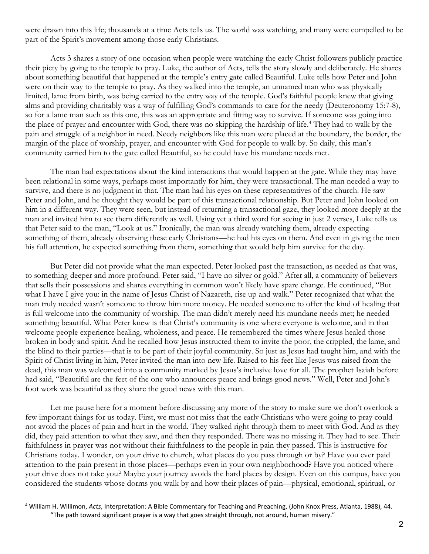were drawn into this life; thousands at a time Acts tells us. The world was watching, and many were compelled to be part of the Spirit's movement among those early Christians.

Acts 3 shares a story of one occasion when people were watching the early Christ followers publicly practice their piety by going to the temple to pray. Luke, the author of Acts, tells the story slowly and deliberately. He shares about something beautiful that happened at the temple's entry gate called Beautiful. Luke tells how Peter and John were on their way to the temple to pray. As they walked into the temple, an unnamed man who was physically limited, lame from birth, was being carried to the entry way of the temple. God's faithful people knew that giving alms and providing charitably was a way of fulfilling God's commands to care for the needy (Deuteronomy 15:7-8), so for a lame man such as this one, this was an appropriate and fitting way to survive. If someone was going into the place of prayer and encounter with God, there was no skipping the hardship of life. [4](#page-1-0) They had to walk by the pain and struggle of a neighbor in need. Needy neighbors like this man were placed at the boundary, the border, the margin of the place of worship, prayer, and encounter with God for people to walk by. So daily, this man's community carried him to the gate called Beautiful, so he could have his mundane needs met.

The man had expectations about the kind interactions that would happen at the gate. While they may have been relational in some ways, perhaps most importantly for him, they were transactional. The man needed a way to survive, and there is no judgment in that. The man had his eyes on these representatives of the church. He saw Peter and John, and he thought they would be part of this transactional relationship. But Peter and John looked on him in a different way. They were seen, but instead of returning a transactional gaze, they looked more deeply at the man and invited him to see them differently as well. Using yet a third word for seeing in just 2 verses, Luke tells us that Peter said to the man, "Look at us." Ironically, the man was already watching them, already expecting something of them, already observing these early Christians—he had his eyes on them. And even in giving the men his full attention, he expected something from them, something that would help him survive for the day.

But Peter did not provide what the man expected. Peter looked past the transaction, as needed as that was, to something deeper and more profound. Peter said, "I have no silver or gold." After all, a community of believers that sells their possessions and shares everything in common won't likely have spare change. He continued, "But what I have I give you: in the name of Jesus Christ of Nazareth, rise up and walk." Peter recognized that what the man truly needed wasn't someone to throw him more money. He needed someone to offer the kind of healing that is full welcome into the community of worship. The man didn't merely need his mundane needs met; he needed something beautiful. What Peter knew is that Christ's community is one where everyone is welcome, and in that welcome people experience healing, wholeness, and peace. He remembered the times where Jesus healed those broken in body and spirit. And he recalled how Jesus instructed them to invite the poor, the crippled, the lame, and the blind to their parties—that is to be part of their joyful community. So just as Jesus had taught him, and with the Spirit of Christ living in him, Peter invited the man into new life. Raised to his feet like Jesus was raised from the dead, this man was welcomed into a community marked by Jesus's inclusive love for all. The prophet Isaiah before had said, "Beautiful are the feet of the one who announces peace and brings good news." Well, Peter and John's foot work was beautiful as they share the good news with this man.

Let me pause here for a moment before discussing any more of the story to make sure we don't overlook a few important things for us today. First, we must not miss that the early Christians who were going to pray could not avoid the places of pain and hurt in the world. They walked right through them to meet with God. And as they did, they paid attention to what they saw, and then they responded. There was no missing it. They had to see. Their faithfulness in prayer was not without their faithfulness to the people in pain they passed. This is instructive for Christians today. I wonder, on your drive to church, what places do you pass through or by? Have you ever paid attention to the pain present in those places—perhaps even in your own neighborhood? Have you noticed where your drive does not take you? Maybe your journey avoids the hard places by design. Even on this campus, have you considered the students whose dorms you walk by and how their places of pain—physical, emotional, spiritual, or

l

<span id="page-1-0"></span><sup>4</sup> William H. Willimon, *Acts*, Interpretation: A Bible Commentary for Teaching and Preaching, (John Knox Press, Atlanta, 1988), 44. "The path toward significant prayer is a way that goes straight through, not around, human misery."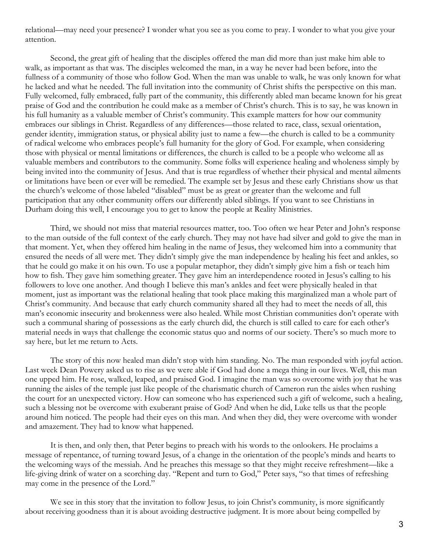relational—may need your presence? I wonder what you see as you come to pray. I wonder to what you give your attention.

Second, the great gift of healing that the disciples offered the man did more than just make him able to walk, as important as that was. The disciples welcomed the man, in a way he never had been before, into the fullness of a community of those who follow God. When the man was unable to walk, he was only known for what he lacked and what he needed. The full invitation into the community of Christ shifts the perspective on this man. Fully welcomed, fully embraced, fully part of the community, this differently abled man became known for his great praise of God and the contribution he could make as a member of Christ's church. This is to say, he was known in his full humanity as a valuable member of Christ's community. This example matters for how our community embraces our siblings in Christ. Regardless of any differences—those related to race, class, sexual orientation, gender identity, immigration status, or physical ability just to name a few—the church is called to be a community of radical welcome who embraces people's full humanity for the glory of God. For example, when considering those with physical or mental limitations or differences, the church is called to be a people who welcome all as valuable members and contributors to the community. Some folks will experience healing and wholeness simply by being invited into the community of Jesus. And that is true regardless of whether their physical and mental ailments or limitations have been or ever will be remedied. The example set by Jesus and these early Christians show us that the church's welcome of those labeled "disabled" must be as great or greater than the welcome and full participation that any other community offers our differently abled siblings. If you want to see Christians in Durham doing this well, I encourage you to get to know the people at Reality Ministries.

Third, we should not miss that material resources matter, too. Too often we hear Peter and John's response to the man outside of the full context of the early church. They may not have had silver and gold to give the man in that moment. Yet, when they offered him healing in the name of Jesus, they welcomed him into a community that ensured the needs of all were met. They didn't simply give the man independence by healing his feet and ankles, so that he could go make it on his own. To use a popular metaphor, they didn't simply give him a fish or teach him how to fish. They gave him something greater. They gave him an interdependence rooted in Jesus's calling to his followers to love one another. And though I believe this man's ankles and feet were physically healed in that moment, just as important was the relational healing that took place making this marginalized man a whole part of Christ's community. And because that early church community shared all they had to meet the needs of all, this man's economic insecurity and brokenness were also healed. While most Christian communities don't operate with such a communal sharing of possessions as the early church did, the church is still called to care for each other's material needs in ways that challenge the economic status quo and norms of our society. There's so much more to say here, but let me return to Acts.

The story of this now healed man didn't stop with him standing. No. The man responded with joyful action. Last week Dean Powery asked us to rise as we were able if God had done a mega thing in our lives. Well, this man one upped him. He rose, walked, leaped, and praised God. I imagine the man was so overcome with joy that he was running the aisles of the temple just like people of the charismatic church of Cameron run the aisles when rushing the court for an unexpected victory. How can someone who has experienced such a gift of welcome, such a healing, such a blessing not be overcome with exuberant praise of God? And when he did, Luke tells us that the people around him noticed. The people had their eyes on this man. And when they did, they were overcome with wonder and amazement. They had to know what happened.

It is then, and only then, that Peter begins to preach with his words to the onlookers. He proclaims a message of repentance, of turning toward Jesus, of a change in the orientation of the people's minds and hearts to the welcoming ways of the messiah. And he preaches this message so that they might receive refreshment—like a life-giving drink of water on a scorching day. "Repent and turn to God," Peter says, "so that times of refreshing may come in the presence of the Lord."

We see in this story that the invitation to follow Jesus, to join Christ's community, is more significantly about receiving goodness than it is about avoiding destructive judgment. It is more about being compelled by